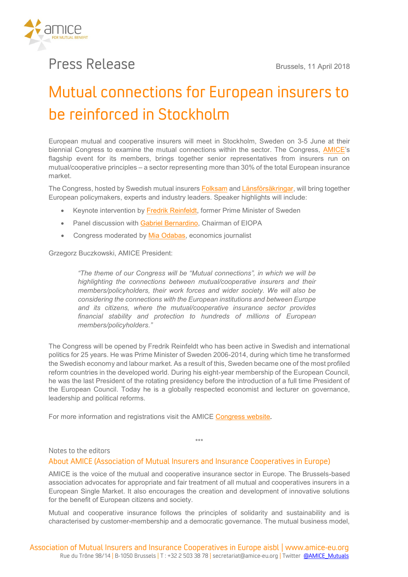

## Press Release **Brussels, 11 April 2018**

## Mutual connections for European insurers to be reinforced in Stockholm

**European mutual and cooperative insurers will meet in Stockholm, Sweden on 3-5 June at their biennial Congress to examine the mutual connections within the sector. The Congress, [AMICE](http://www.amice-eu.org/)'s flagship event for its members, brings together senior representatives from insurers run on mutual/cooperative principles – a sector representing more than 30% of the total European insurance market.**

**The Congress, hosted by Swedish mutual insurers [Folksam](https://www.folksam.se/) and [Länsförsäkringar,](https://www.lansforsakringar.se/privat/) will bring together European policymakers, experts and industry leaders. Speaker highlights will include:**

- **Keynote intervention by [Fredrik Reinfeldt,](http://fredrikreinfeldt.se/english/) former Prime Minister of Sweden**
- **Panel discussion with [Gabriel Bernardino,](https://eiopa.europa.eu/about-eiopa/organisation/senior-management) Chairman of EIOPA**
- **Congress moderated by [Mia Odabas,](http://www.miaodabas.com/) economics journalist**

**Grzegorz Buczkowski, AMICE President:** 

*"The theme of our Congress will be "Mutual connections", in which we will be highlighting the connections between mutual/cooperative insurers and their members/policyholders, their work forces and wider society. We will also be considering the connections with the European institutions and between Europe and its citizens, where the mutual/cooperative insurance sector provides financial stability and protection to hundreds of millions of European members/policyholders."*

**The Congress will be opened by Fredrik Reinfeldt who has been active in Swedish and international politics for 25 years. He was Prime Minister of Sweden 2006-2014, during which time he transformed the Swedish economy and labour market. As a result of this, Sweden became one of the most profiled reform countries in the developed world. During his eight-year membership of the European Council, he was the last President of the rotating presidency before the introduction of a full time President of the European Council. Today he is a globally respected economist and lecturer on governance, leadership and political reforms.**

**For more information and registrations visit the AMICE [Congress website.](http://www.amicecongress.eu/)**

## Notes to the editors

## About AMICE (Association of Mutual Insurers and Insurance Cooperatives in Europe)

**AMICE is the voice of the mutual and cooperative insurance sector in Europe. The Brussels-based association advocates for appropriate and fair treatment of all mutual and cooperatives insurers in a European Single Market. It also encourages the creation and development of innovative solutions for the benefit of European citizens and society.**

**\*\*\***

**Mutual and cooperative insurance follows the principles of solidarity and sustainability and is characterised by customer-membership and a democratic governance. The mutual business model,**